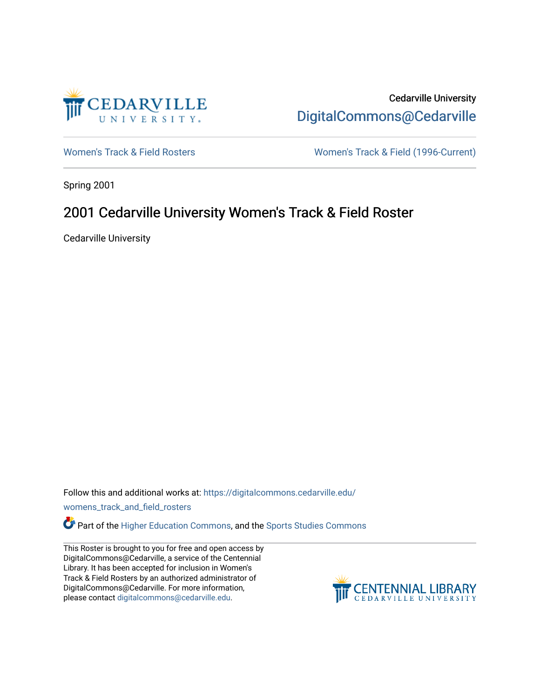

Cedarville University [DigitalCommons@Cedarville](https://digitalcommons.cedarville.edu/) 

[Women's Track & Field Rosters](https://digitalcommons.cedarville.edu/womens_track_and_field_rosters) Women's Track & Field (1996-Current)

Spring 2001

## 2001 Cedarville University Women's Track & Field Roster

Cedarville University

Follow this and additional works at: [https://digitalcommons.cedarville.edu/](https://digitalcommons.cedarville.edu/womens_track_and_field_rosters?utm_source=digitalcommons.cedarville.edu%2Fwomens_track_and_field_rosters%2F28&utm_medium=PDF&utm_campaign=PDFCoverPages)

[womens\\_track\\_and\\_field\\_rosters](https://digitalcommons.cedarville.edu/womens_track_and_field_rosters?utm_source=digitalcommons.cedarville.edu%2Fwomens_track_and_field_rosters%2F28&utm_medium=PDF&utm_campaign=PDFCoverPages) 

**C** Part of the [Higher Education Commons,](http://network.bepress.com/hgg/discipline/1245?utm_source=digitalcommons.cedarville.edu%2Fwomens_track_and_field_rosters%2F28&utm_medium=PDF&utm_campaign=PDFCoverPages) and the Sports Studies Commons

This Roster is brought to you for free and open access by DigitalCommons@Cedarville, a service of the Centennial Library. It has been accepted for inclusion in Women's Track & Field Rosters by an authorized administrator of DigitalCommons@Cedarville. For more information, please contact [digitalcommons@cedarville.edu](mailto:digitalcommons@cedarville.edu).